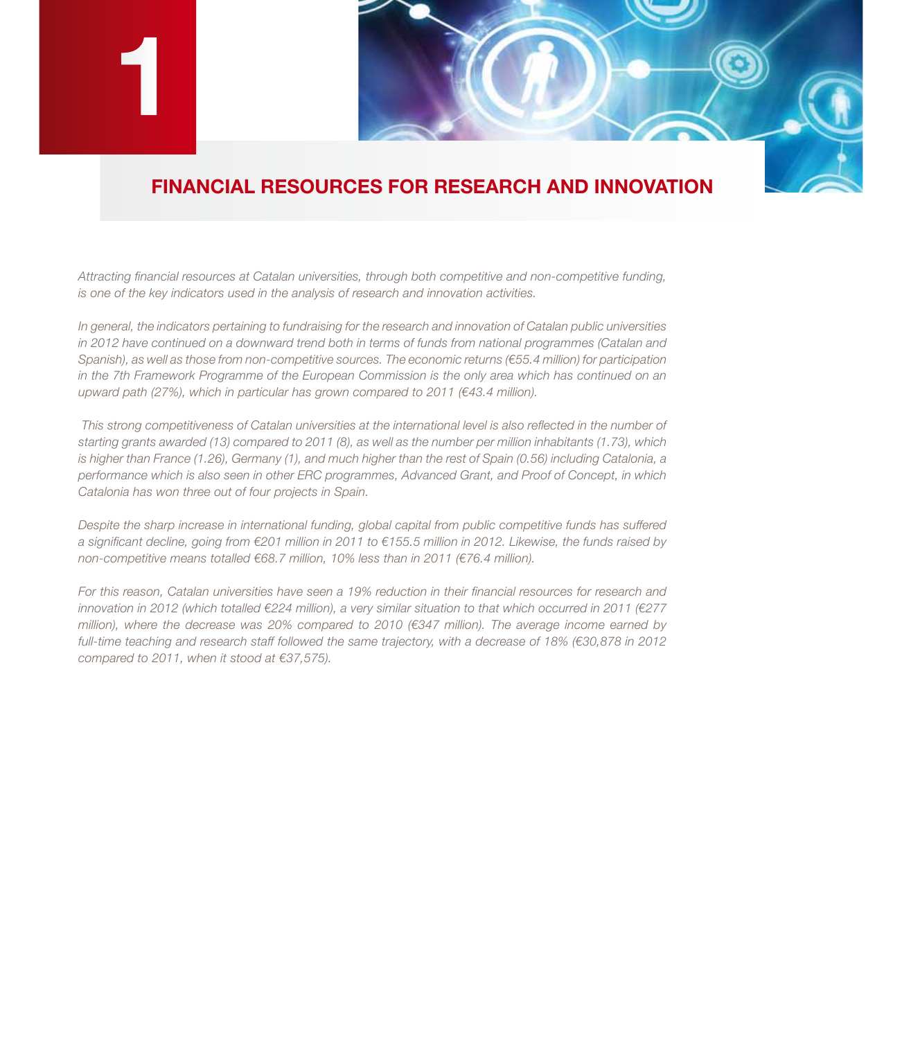

## **FINANCIAL RESOURCES FOR RESEARCH AND INNOVATION**

*Attracting financial resources at Catalan universities, through both competitive and non-competitive funding, is one of the key indicators used in the analysis of research and innovation activities.*

*In general, the indicators pertaining to fundraising for the research and innovation of Catalan public universities in 2012 have continued on a downward trend both in terms of funds from national programmes (Catalan and Spanish), as well as those from non-competitive sources. The economic returns (€55.4 million) for participation in the 7th Framework Programme of the European Commission is the only area which has continued on an upward path (27%), which in particular has grown compared to 2011 (€43.4 million).*

*This strong competitiveness of Catalan universities at the international level is also reflected in the number of starting grants awarded (13) compared to 2011 (8), as well as the number per million inhabitants (1.73), which is higher than France (1.26), Germany (1), and much higher than the rest of Spain (0.56) including Catalonia, a performance which is also seen in other ERC programmes, Advanced Grant, and Proof of Concept, in which Catalonia has won three out of four projects in Spain.* 

*Despite the sharp increase in international funding, global capital from public competitive funds has suffered a significant decline, going from €201 million in 2011 to €155.5 million in 2012. Likewise, the funds raised by non-competitive means totalled €68.7 million, 10% less than in 2011 (€76.4 million).*

*For this reason, Catalan universities have seen a 19% reduction in their financial resources for research and innovation in 2012 (which totalled €224 million), a very similar situation to that which occurred in 2011 (€277 million), where the decrease was 20% compared to 2010 (€347 million). The average income earned by full-time teaching and research staff followed the same trajectory, with a decrease of 18% (€30,878 in 2012 compared to 2011, when it stood at €37,575).*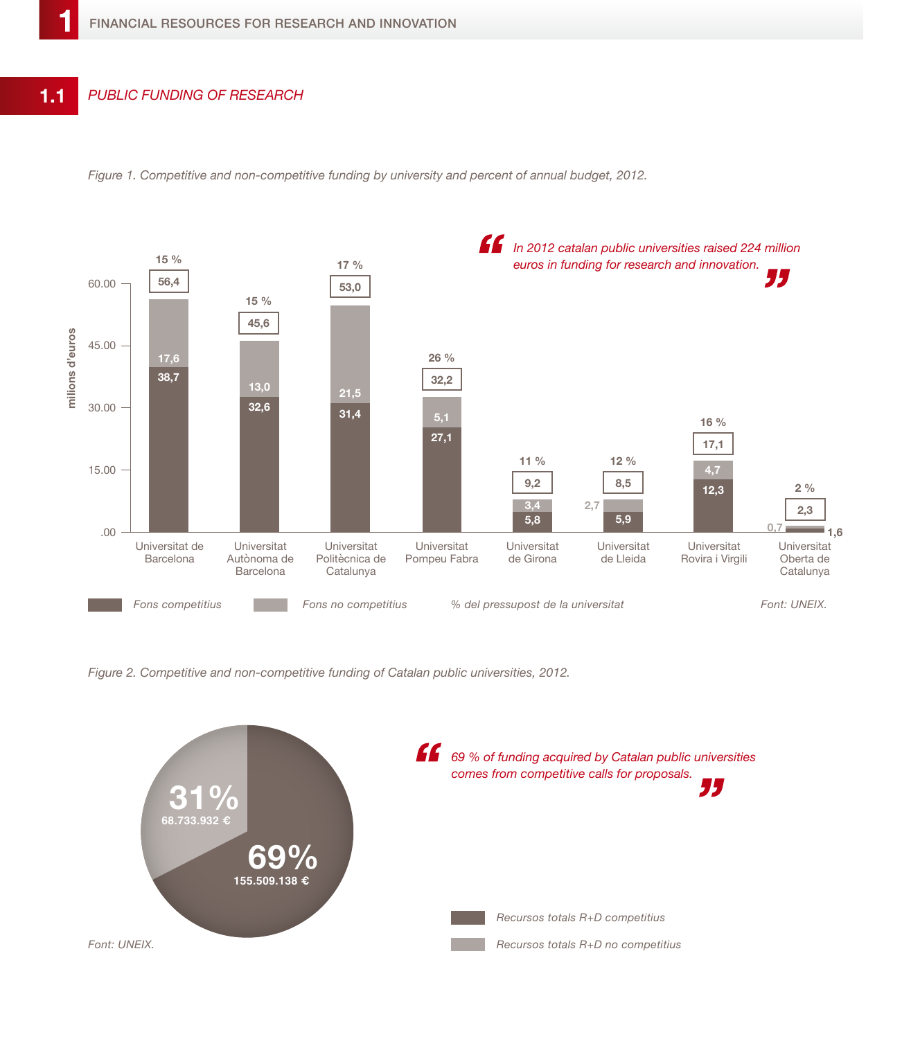



*Figure 2. Competitive and non-competitive funding of Catalan public universities, 2012.*

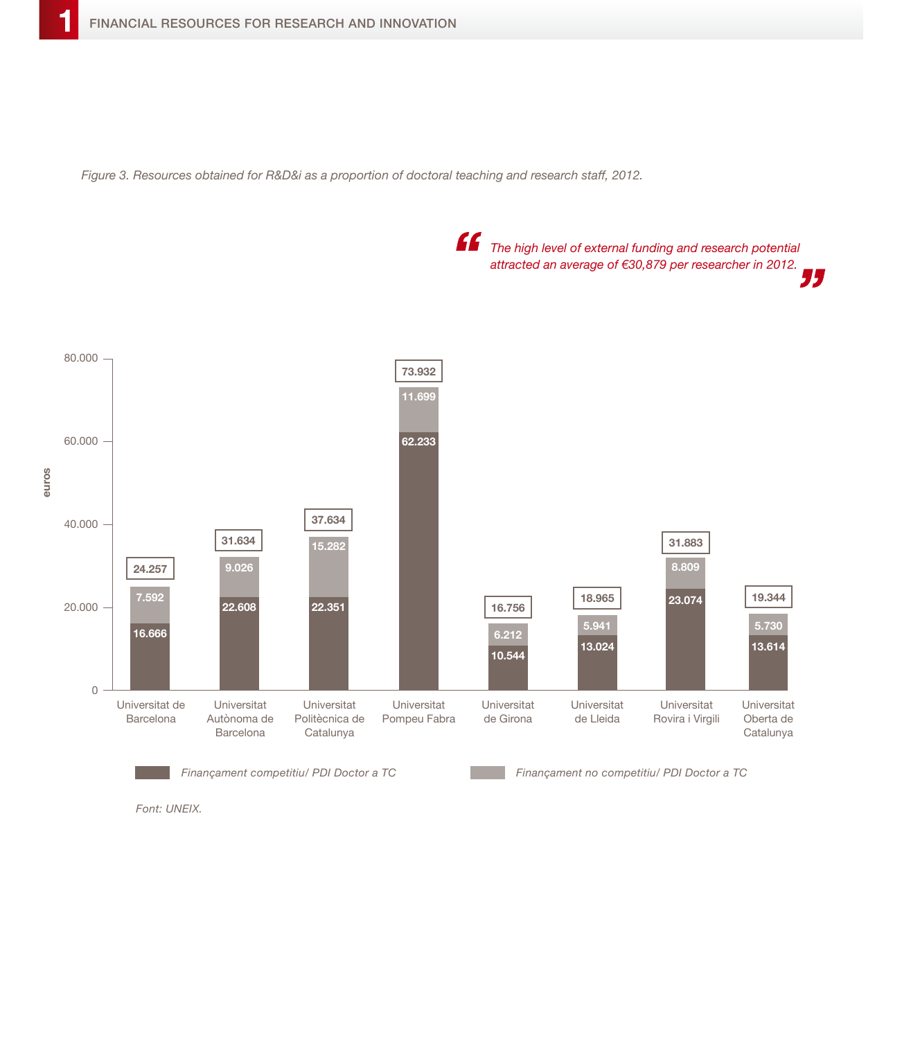*Figure 3. Resources obtained for R&D&i as a proportion of doctoral teaching and research staff, 2012.*



*Font: UNEIX.*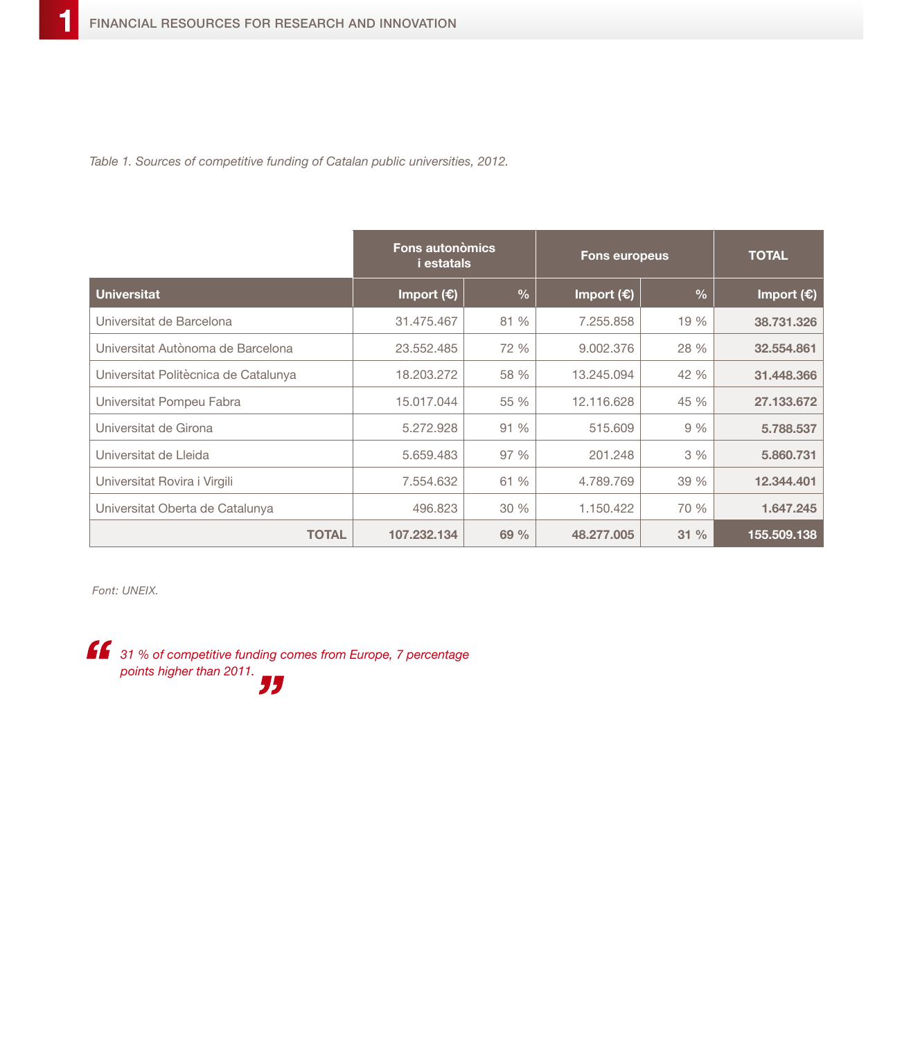*Table 1. Sources of competitive funding of Catalan public universities, 2012.*

|                                      | <b>Fons autonòmics</b><br><i>i</i> estatals |               | <b>Fons europeus</b> |               | <b>TOTAL</b>        |
|--------------------------------------|---------------------------------------------|---------------|----------------------|---------------|---------------------|
| <b>Universitat</b>                   | Import $(E)$                                | $\frac{1}{2}$ | Import $(E)$         | $\frac{0}{0}$ | Import $(\epsilon)$ |
| Universitat de Barcelona             | 31.475.467                                  | 81 %          | 7.255.858            | 19 %          | 38.731.326          |
| Universitat Autònoma de Barcelona    | 23.552.485                                  | 72 %          | 9.002.376            | 28 %          | 32,554,861          |
| Universitat Politècnica de Catalunya | 18.203.272                                  | 58 %          | 13.245.094           | 42 %          | 31.448.366          |
| Universitat Pompeu Fabra             | 15.017.044                                  | 55 %          | 12.116.628           | 45 %          | 27.133.672          |
| Universitat de Girona                | 5.272.928                                   | 91%           | 515,609              | 9%            | 5,788,537           |
| Universitat de Lleida                | 5.659.483                                   | 97 %          | 201.248              | 3%            | 5,860,731           |
| Universitat Rovira i Virgili         | 7.554.632                                   | 61 %          | 4.789.769            | 39 %          | 12.344.401          |
| Universitat Oberta de Catalunya      | 496,823                                     | 30%           | 1.150.422            | 70 %          | 1.647.245           |
| <b>TOTAL</b>                         | 107.232.134                                 | 69%           | 48.277.005           | 31%           | 155.509.138         |

*Font: UNEIX.*

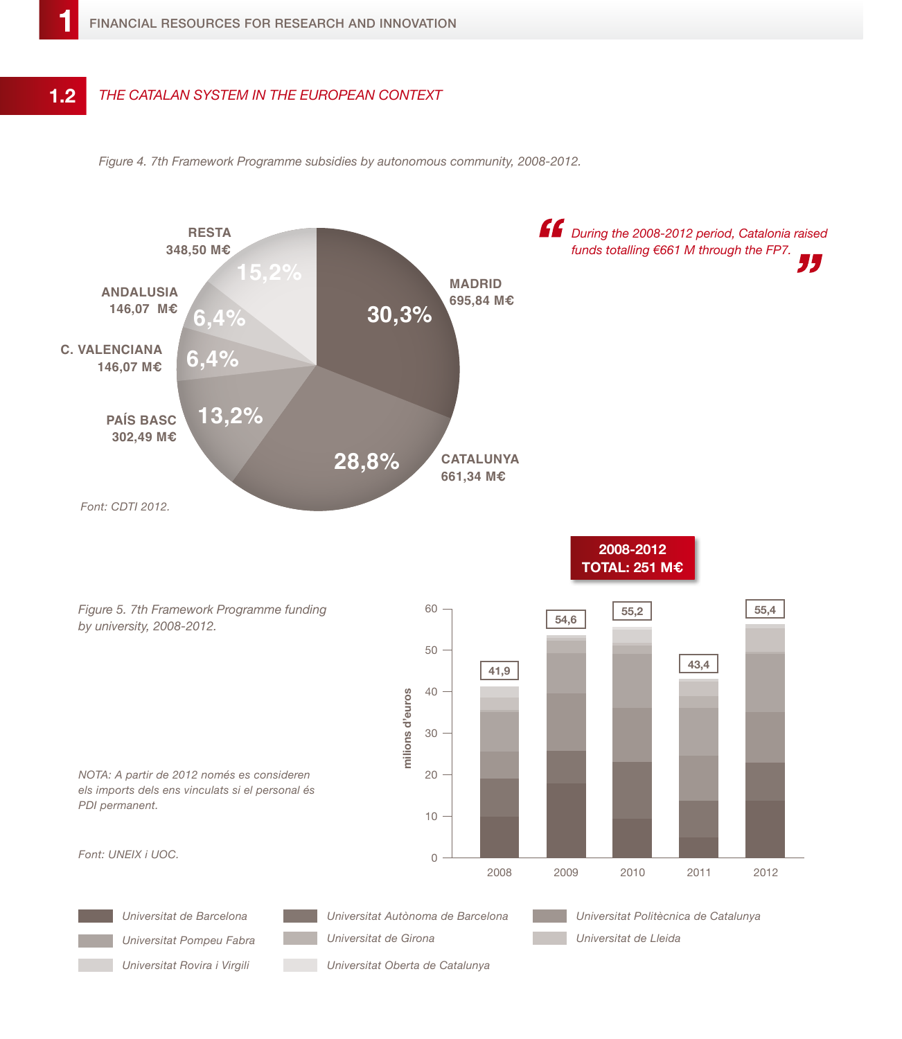## *The Catalan system in the European context* **1.2**

*Figure 4. 7th Framework Programme subsidies by autonomous community, 2008-2012.*

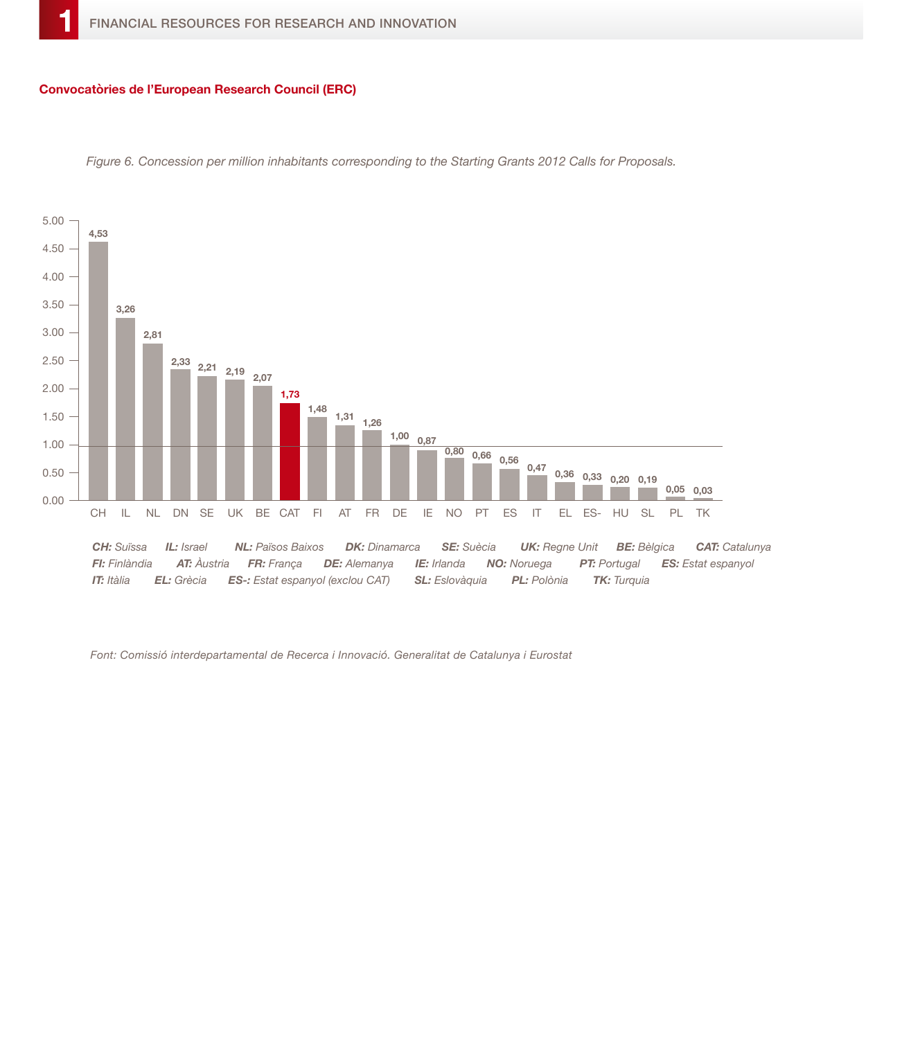## **Convocatòries de l'European Research Council (ERC)**



*Figure 6. Concession per million inhabitants corresponding to the Starting Grants 2012 Calls for Proposals.*

*Font: Comissió interdepartamental de Recerca i Innovació. Generalitat de Catalunya i Eurostat*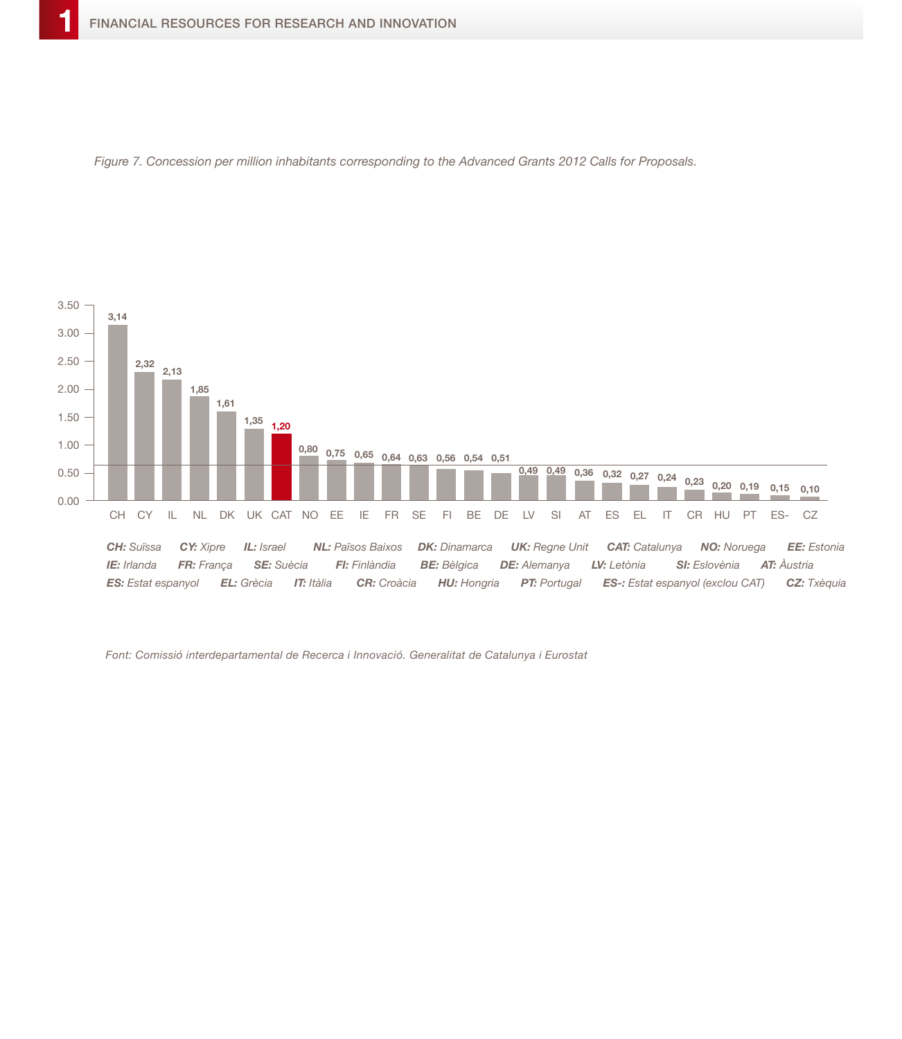



*Font: Comissió interdepartamental de Recerca i Innovació. Generalitat de Catalunya i Eurostat*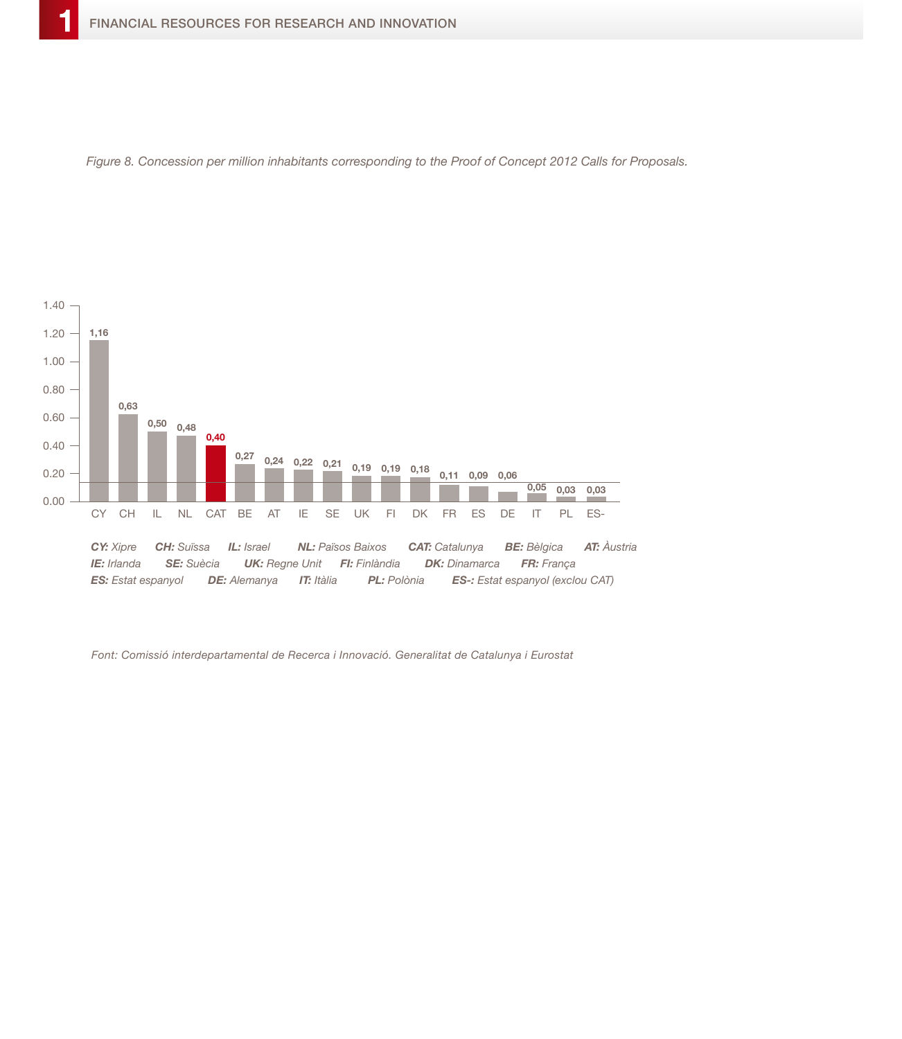



*Font: Comissió interdepartamental de Recerca i Innovació. Generalitat de Catalunya i Eurostat*